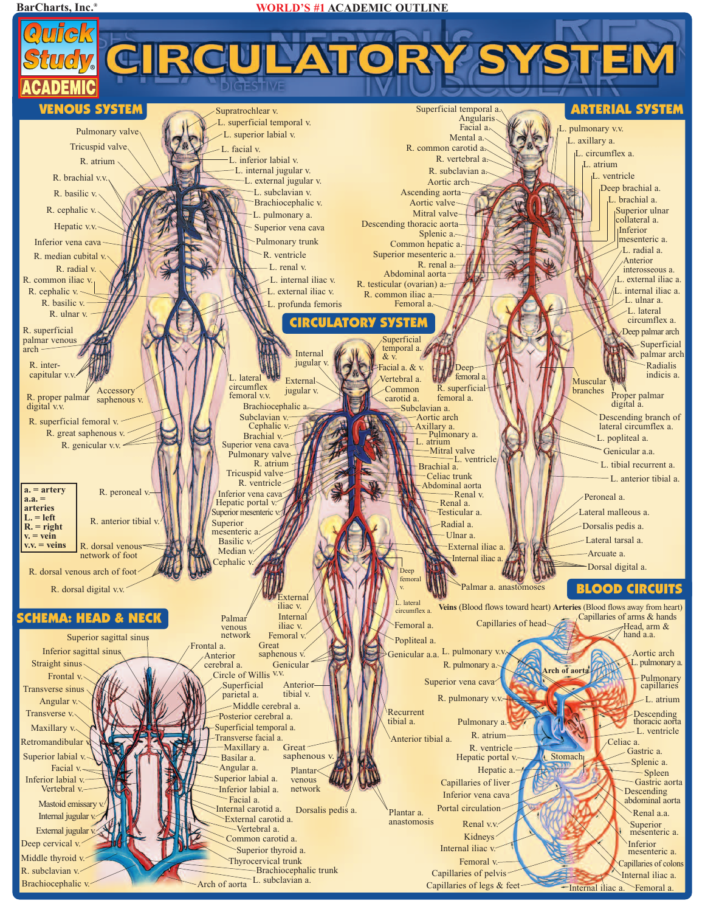## **BarCharts, Inc.® WORLD'S #1 ACADEMIC OUTLINE**